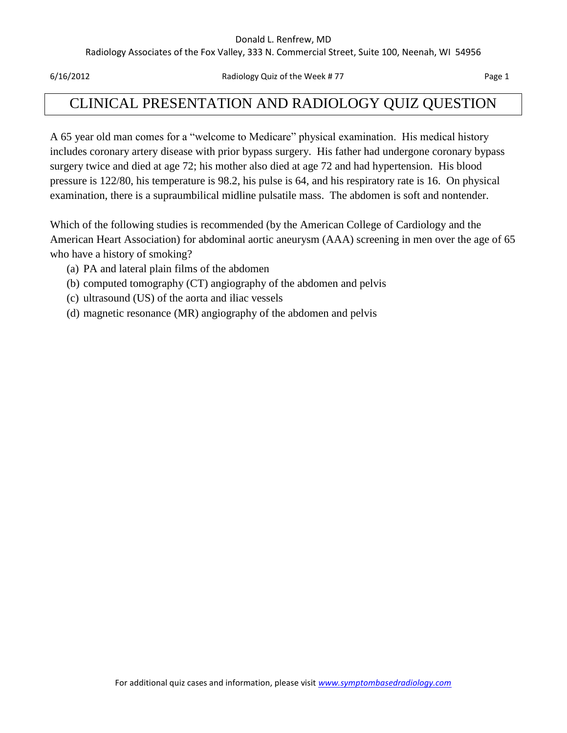#### Donald L. Renfrew, MD

Radiology Associates of the Fox Valley, 333 N. Commercial Street, Suite 100, Neenah, WI 54956

6/16/2012 Radiology Quiz of the Week # 77 Page 1

## CLINICAL PRESENTATION AND RADIOLOGY QUIZ QUESTION

A 65 year old man comes for a "welcome to Medicare" physical examination. His medical history includes coronary artery disease with prior bypass surgery. His father had undergone coronary bypass surgery twice and died at age 72; his mother also died at age 72 and had hypertension. His blood pressure is 122/80, his temperature is 98.2, his pulse is 64, and his respiratory rate is 16. On physical examination, there is a supraumbilical midline pulsatile mass. The abdomen is soft and nontender.

Which of the following studies is recommended (by the American College of Cardiology and the American Heart Association) for abdominal aortic aneurysm (AAA) screening in men over the age of 65 who have a history of smoking?

- (a) PA and lateral plain films of the abdomen
- (b) computed tomography (CT) angiography of the abdomen and pelvis
- (c) ultrasound (US) of the aorta and iliac vessels
- (d) magnetic resonance (MR) angiography of the abdomen and pelvis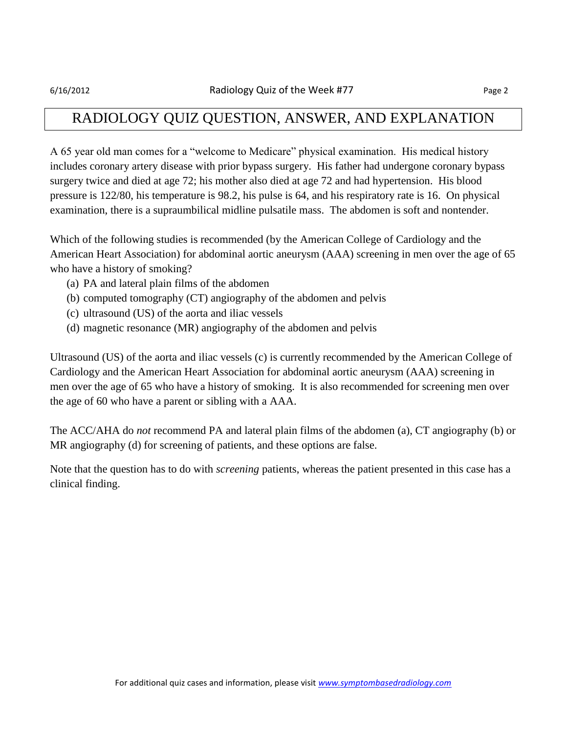## RADIOLOGY QUIZ QUESTION, ANSWER, AND EXPLANATION

A 65 year old man comes for a "welcome to Medicare" physical examination. His medical history includes coronary artery disease with prior bypass surgery. His father had undergone coronary bypass surgery twice and died at age 72; his mother also died at age 72 and had hypertension. His blood pressure is 122/80, his temperature is 98.2, his pulse is 64, and his respiratory rate is 16. On physical examination, there is a supraumbilical midline pulsatile mass. The abdomen is soft and nontender.

Which of the following studies is recommended (by the American College of Cardiology and the American Heart Association) for abdominal aortic aneurysm (AAA) screening in men over the age of 65 who have a history of smoking?

- (a) PA and lateral plain films of the abdomen
- (b) computed tomography (CT) angiography of the abdomen and pelvis
- (c) ultrasound (US) of the aorta and iliac vessels
- (d) magnetic resonance (MR) angiography of the abdomen and pelvis

Ultrasound (US) of the aorta and iliac vessels (c) is currently recommended by the American College of Cardiology and the American Heart Association for abdominal aortic aneurysm (AAA) screening in men over the age of 65 who have a history of smoking. It is also recommended for screening men over the age of 60 who have a parent or sibling with a AAA.

The ACC/AHA do *not* recommend PA and lateral plain films of the abdomen (a), CT angiography (b) or MR angiography (d) for screening of patients, and these options are false.

Note that the question has to do with *screening* patients, whereas the patient presented in this case has a clinical finding.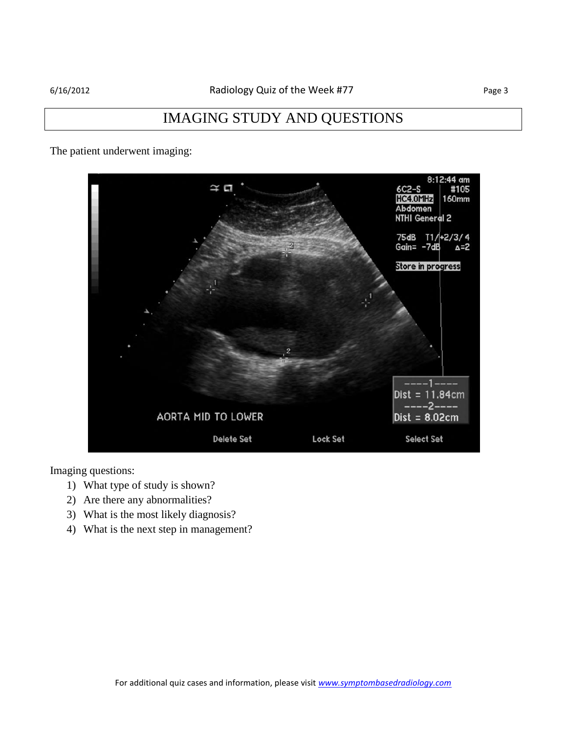## IMAGING STUDY AND QUESTIONS

The patient underwent imaging:



Imaging questions:

- 1) What type of study is shown?
- 2) Are there any abnormalities?
- 3) What is the most likely diagnosis?
- 4) What is the next step in management?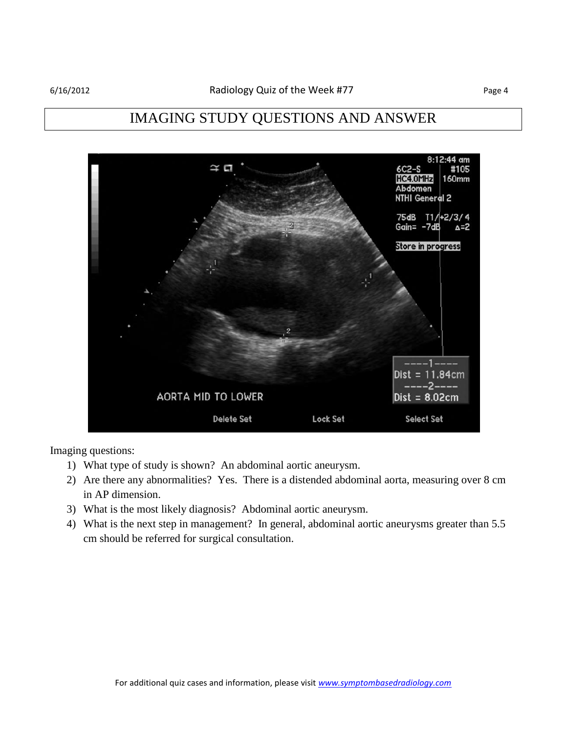# IMAGING STUDY QUESTIONS AND ANSWER



Imaging questions:

- 1) What type of study is shown? An abdominal aortic aneurysm.
- 2) Are there any abnormalities? Yes. There is a distended abdominal aorta, measuring over 8 cm in AP dimension.
- 3) What is the most likely diagnosis? Abdominal aortic aneurysm.
- 4) What is the next step in management? In general, abdominal aortic aneurysms greater than 5.5 cm should be referred for surgical consultation.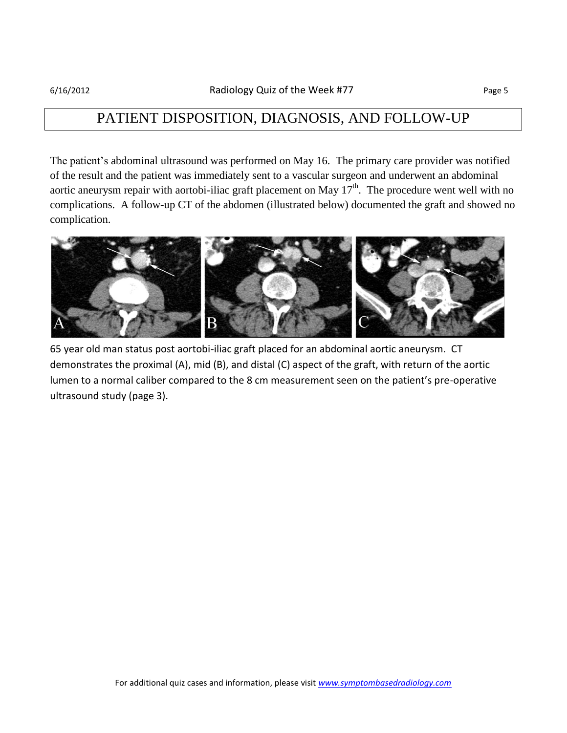## PATIENT DISPOSITION, DIAGNOSIS, AND FOLLOW-UP

The patient's abdominal ultrasound was performed on May 16. The primary care provider was notified of the result and the patient was immediately sent to a vascular surgeon and underwent an abdominal aortic aneurysm repair with aortobi-iliac graft placement on May  $17<sup>th</sup>$ . The procedure went well with no complications. A follow-up CT of the abdomen (illustrated below) documented the graft and showed no complication.



65 year old man status post aortobi-iliac graft placed for an abdominal aortic aneurysm. CT demonstrates the proximal (A), mid (B), and distal (C) aspect of the graft, with return of the aortic lumen to a normal caliber compared to the 8 cm measurement seen on the patient's pre-operative ultrasound study (page 3).